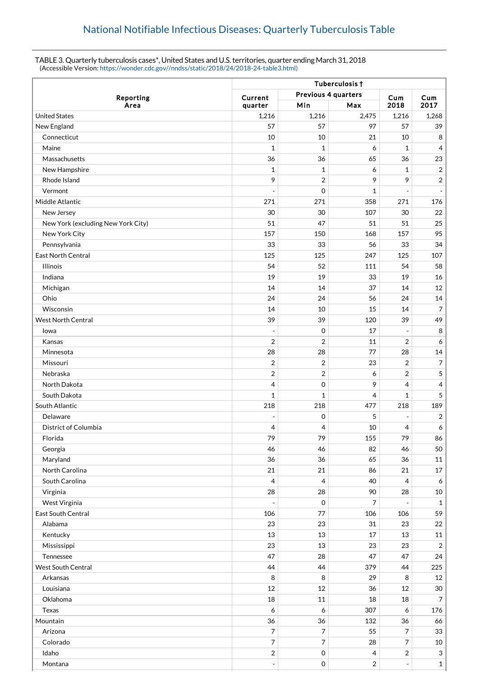## TABLE 3. Quarterly tuberculosis cases\*, United States and U.S. territories, quarter ending March 31, 2018 (Accessible Version: [https://wonder.cdc.gov//nndss/static/2018/24/2018-24-table3.html\)](https://wonder.cdc.gov//nndss/static/2018/24/2018-24-table3.html)

|                                    | Tuberculosis +                        |                |                |                |                         |  |
|------------------------------------|---------------------------------------|----------------|----------------|----------------|-------------------------|--|
| Reporting                          | Previous 4 quarters<br>Current<br>Cum |                |                |                | Cum                     |  |
| Area                               | quarter                               | Min            | Max            | 2018           | 2017                    |  |
| <b>United States</b>               | 1,216                                 | 1,216          | 2,475          | 1,216          | 1,268                   |  |
| New England                        | 57                                    | 57             | 97             | 57             | 39                      |  |
| Connecticut                        | 10                                    | 10             | 21             | 10             | 8                       |  |
| Maine                              | $\mathbf{1}$                          | 1              | 6              | 1              | 4                       |  |
| Massachusetts                      | 36                                    | 36             | 65             | 36             | 23                      |  |
| New Hampshire                      | $\mathbf{1}$                          | 1              | 6              | 1              | $\overline{2}$          |  |
| Rhode Island                       | 9                                     | 2              | 9              | 9              | $\overline{\mathbf{c}}$ |  |
| Vermont                            |                                       | $\mathbf 0$    | 1              |                | $\overline{a}$          |  |
| Middle Atlantic                    | 271                                   | 271            | 358            | 271            | 176                     |  |
| New Jersey                         | 30                                    | 30             | 107            | 30             | 22                      |  |
| New York (excluding New York City) | 51                                    | 47             | 51             | 51             | 25                      |  |
| New York City                      | 157                                   | 150            | 168            | 157            | 95                      |  |
| Pennsylvania                       | 33                                    | 33             | 56             | 33             | 34                      |  |
| <b>East North Central</b>          | 125                                   | 125            | 247            | 125            | 107                     |  |
| Illinois                           | 54                                    | 52             | 111            | 54             | 58                      |  |
| Indiana                            | 19                                    | 19             | 33             | 19             | 16                      |  |
| Michigan                           | 14                                    | 14             | 37             | 14             | 12                      |  |
| Ohio                               | 24                                    | 24             | 56             | 24             | 14                      |  |
| Wisconsin                          | 14                                    | 10             | 15             | 14             | 7                       |  |
| <b>West North Central</b>          | 39                                    | 39             | 120            | 39             | 49                      |  |
| lowa                               |                                       | 0              | 17             |                | 8                       |  |
| Kansas                             | $\overline{2}$                        | $\overline{2}$ | 11             | $\overline{2}$ | 6                       |  |
| Minnesota                          | 28                                    | 28             | 77             | 28             | 14                      |  |
| Missouri                           | $\overline{2}$                        | $\overline{2}$ | 23             | $\overline{2}$ | 7                       |  |
| Nebraska                           | $\sqrt{2}$                            | $\overline{2}$ | 6              | 2              | 5                       |  |
| North Dakota                       | $\overline{4}$                        | $\mathbf 0$    | 9              | 4              | 4                       |  |
| South Dakota                       | $\mathbf{1}$                          | 1              | 4              | $\mathbf{1}$   | 5                       |  |
| South Atlantic                     | 218                                   | 218            | 477            | 218            | 189                     |  |
| Delaware                           |                                       | $\mathbf 0$    | 5              |                | 2                       |  |
| <b>District of Columbia</b>        | 4                                     | 4              | 10             | 4              | 6                       |  |
| Florida                            | 79                                    | 79             | 155            | 79             | 86                      |  |
| Georgia                            | 46                                    | 46             | 82             | 46             | 50                      |  |
| Maryland                           | 36                                    | 36             | 65             | 36             | $11\,$                  |  |
| North Carolina                     | 21                                    | 21             | 86             | 21             | $17\,$                  |  |
| South Carolina                     | $\overline{4}$                        | $\overline{4}$ | 40             | 4              | 6                       |  |
| Virginia                           | 28                                    | 28             | 90             | 28             | 10                      |  |
| West Virginia                      | $\overline{a}$                        | $\mathbf 0$    | 7              |                | $\mathbf{1}$            |  |
| East South Central                 | 106                                   | 77             | 106            | 106            | 59                      |  |
| Alabama                            | 23                                    | 23             | 31             | 23             | $22\,$                  |  |
| Kentucky                           | 13                                    | 13             | 17             | 13             | $11\,$                  |  |
| Mississippi                        | 23                                    | 13             | 23             | 23             | $\overline{2}$          |  |
| Tennessee                          | 47                                    | 28             | 47             | 47             | 24                      |  |
| <b>West South Central</b>          | 44                                    | 44             | 379            | 44             | 225                     |  |
| Arkansas                           | 8                                     | 8              | 29             | 8              | 12                      |  |
| Louisiana                          | 12                                    | 12             | 36             | 12             | $30\,$                  |  |
| Oklahoma                           | 18                                    | 11             | 18             | 18             | $\overline{7}$          |  |
| Texas                              | 6                                     | 6              | 307            | 6              | 176                     |  |
| Mountain                           | 36                                    | 36             | 132            | 36             | 66                      |  |
| Arizona                            | 7                                     | 7              | 55             | 7              | 33                      |  |
| Colorado                           | $\overline{7}$                        | $\overline{7}$ | 28             | 7              | $10\,$                  |  |
| Idaho                              | $\overline{2}$                        | $\mathbf 0$    | $\overline{4}$ | 2              | $\mathbf{3}$            |  |
| Montana                            | $\overline{\phantom{a}}$              | $\mathbf 0$    | $\sqrt{2}$     |                | $1\,$                   |  |
|                                    |                                       |                |                |                |                         |  |